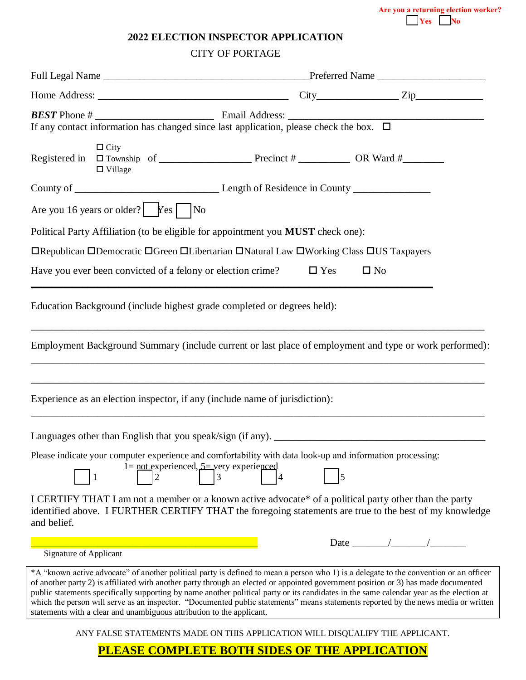**Are you a returning election worker? Yes** No

| <b>2022 ELECTION INSPECTOR APPLICATION</b> |  |
|--------------------------------------------|--|
|--------------------------------------------|--|

## CITY OF PORTAGE

| If any contact information has changed since last application, please check the box. $\Box$                                                                                                                                                                                                                                                                                                                                                                                                                                                                                                                                             |            |              |  |
|-----------------------------------------------------------------------------------------------------------------------------------------------------------------------------------------------------------------------------------------------------------------------------------------------------------------------------------------------------------------------------------------------------------------------------------------------------------------------------------------------------------------------------------------------------------------------------------------------------------------------------------------|------------|--------------|--|
| $\Box$ City<br>$\Box$ Village                                                                                                                                                                                                                                                                                                                                                                                                                                                                                                                                                                                                           |            |              |  |
|                                                                                                                                                                                                                                                                                                                                                                                                                                                                                                                                                                                                                                         |            |              |  |
| Are you 16 years or older? $\begin{array}{ c c c c c } \hline \end{array}$ No                                                                                                                                                                                                                                                                                                                                                                                                                                                                                                                                                           |            |              |  |
| Political Party Affiliation (to be eligible for appointment you MUST check one):                                                                                                                                                                                                                                                                                                                                                                                                                                                                                                                                                        |            |              |  |
| □Republican □Democratic □Green □Libertarian □Natural Law □Working Class □US Taxpayers                                                                                                                                                                                                                                                                                                                                                                                                                                                                                                                                                   |            |              |  |
| Have you ever been convicted of a felony or election crime?                                                                                                                                                                                                                                                                                                                                                                                                                                                                                                                                                                             | $\Box$ Yes | $\square$ No |  |
| Education Background (include highest grade completed or degrees held):                                                                                                                                                                                                                                                                                                                                                                                                                                                                                                                                                                 |            |              |  |
| Employment Background Summary (include current or last place of employment and type or work performed):                                                                                                                                                                                                                                                                                                                                                                                                                                                                                                                                 |            |              |  |
| Experience as an election inspector, if any (include name of jurisdiction):<br>,我们也不能在这里的时候,我们也不能在这里的时候,我们也不能会在这里的时候,我们也不能会在这里的时候,我们也不能会在这里的时候,我们也不能会在这里的时候,我们也不                                                                                                                                                                                                                                                                                                                                                                                                                                                                        |            |              |  |
|                                                                                                                                                                                                                                                                                                                                                                                                                                                                                                                                                                                                                                         |            |              |  |
| Please indicate your computer experience and comfortability with data look-up and information processing:<br>$1 = \underline{\text{not}}$ experienced, $5 = \text{very}$ experienced<br>2<br>3                                                                                                                                                                                                                                                                                                                                                                                                                                          |            |              |  |
| I CERTIFY THAT I am not a member or a known active advocate* of a political party other than the party<br>identified above. I FURTHER CERTIFY THAT the foregoing statements are true to the best of my knowledge<br>and belief.                                                                                                                                                                                                                                                                                                                                                                                                         |            |              |  |
|                                                                                                                                                                                                                                                                                                                                                                                                                                                                                                                                                                                                                                         |            |              |  |
| <b>Signature of Applicant</b>                                                                                                                                                                                                                                                                                                                                                                                                                                                                                                                                                                                                           |            |              |  |
| *A "known active advocate" of another political party is defined to mean a person who 1) is a delegate to the convention or an officer<br>of another party 2) is affiliated with another party through an elected or appointed government position or 3) has made documented<br>public statements specifically supporting by name another political party or its candidates in the same calendar year as the election at<br>which the person will serve as an inspector. "Documented public statements" means statements reported by the news media or written<br>statements with a clear and unambiguous attribution to the applicant. |            |              |  |
| ANY FALSE STATEMENTS MADE ON THIS APPLICATION WILL DISQUALIFY THE APPLICANT.                                                                                                                                                                                                                                                                                                                                                                                                                                                                                                                                                            |            |              |  |

**PLEASE COMPLETE BOTH SIDES OF THE APPLICATION**